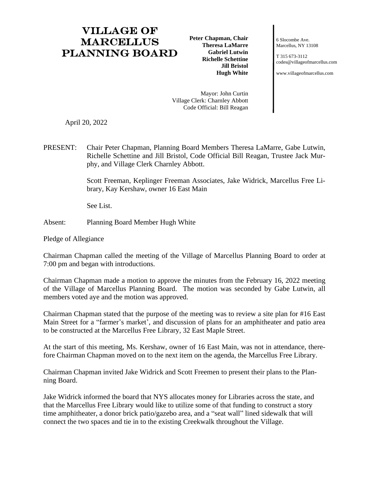## Village of **MARCELLUS** Planning Board

**Peter Chapman, Chair Theresa LaMarre Gabriel Lutwin Richelle Schettine Jill Bristol Hugh White**

6 Slocombe Ave. Marcellus, NY 13108

T 315 673-3112 [codes@villageofmarcellus.com](mailto:codes@villageofmarcellus.com)

[www.villageofmarcellus.com](http://www.villageofmarcellus.com/)

Mayor: John Curtin Village Clerk: Charnley Abbott Code Official: Bill Reagan

April 20, 2022

PRESENT: Chair Peter Chapman, Planning Board Members Theresa LaMarre, Gabe Lutwin, Richelle Schettine and Jill Bristol, Code Official Bill Reagan, Trustee Jack Murphy, and Village Clerk Charnley Abbott.

> Scott Freeman, Keplinger Freeman Associates, Jake Widrick, Marcellus Free Library, Kay Kershaw, owner 16 East Main

See List.

Absent: Planning Board Member Hugh White

Pledge of Allegiance

Chairman Chapman called the meeting of the Village of Marcellus Planning Board to order at 7:00 pm and began with introductions.

Chairman Chapman made a motion to approve the minutes from the February 16, 2022 meeting of the Village of Marcellus Planning Board. The motion was seconded by Gabe Lutwin, all members voted aye and the motion was approved.

Chairman Chapman stated that the purpose of the meeting was to review a site plan for #16 East Main Street for a "farmer's market', and discussion of plans for an amphitheater and patio area to be constructed at the Marcellus Free Library, 32 East Maple Street.

At the start of this meeting, Ms. Kershaw, owner of 16 East Main, was not in attendance, therefore Chairman Chapman moved on to the next item on the agenda, the Marcellus Free Library.

Chairman Chapman invited Jake Widrick and Scott Freemen to present their plans to the Planning Board.

Jake Widrick informed the board that NYS allocates money for Libraries across the state, and that the Marcellus Free Library would like to utilize some of that funding to construct a story time amphitheater, a donor brick patio/gazebo area, and a "seat wall" lined sidewalk that will connect the two spaces and tie in to the existing Creekwalk throughout the Village.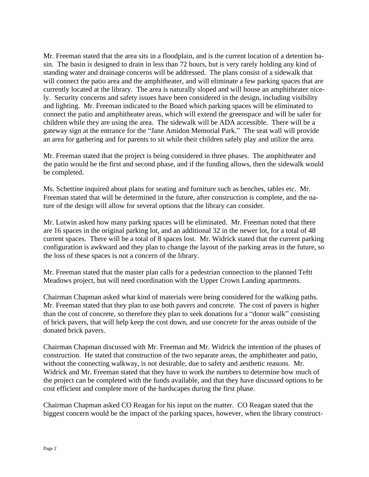Mr. Freeman stated that the area sits in a floodplain, and is the current location of a detention basin. The basin is designed to drain in less than 72 hours, but is very rarely holding any kind of standing water and drainage concerns will be addressed. The plans consist of a sidewalk that will connect the patio area and the amphitheater, and will eliminate a few parking spaces that are currently located at the library. The area is naturally sloped and will house an amphitheater nicely. Security concerns and safety issues have been considered in the design, including visibility and lighting. Mr. Freeman indicated to the Board which parking spaces will be eliminated to connect the patio and amphitheater areas, which will extend the greenspace and will be safer for children while they are using the area. The sidewalk will be ADA accessible. There will be a gateway sign at the entrance for the "Jane Amidon Memorial Park." The seat wall will provide an area for gathering and for parents to sit while their children safely play and utilize the area.

Mr. Freeman stated that the project is being considered in three phases. The amphitheater and the patio would be the first and second phase, and if the funding allows, then the sidewalk would be completed.

Ms. Schettine inquired about plans for seating and furniture such as benches, tables etc. Mr. Freeman stated that will be determined in the future, after construction is complete, and the nature of the design will allow for several options that the library can consider.

Mr. Lutwin asked how many parking spaces will be eliminated. Mr. Freeman noted that there are 16 spaces in the original parking lot, and an additional 32 in the newer lot, for a total of 48 current spaces. There will be a total of 8 spaces lost. Mr. Widrick stated that the current parking configuration is awkward and they plan to change the layout of the parking areas in the future, so the loss of these spaces is not a concern of the library.

Mr. Freeman stated that the master plan calls for a pedestrian connection to the planned Teftt Meadows project, but will need coordination with the Upper Crown Landing apartments.

Chairman Chapman asked what kind of materials were being considered for the walking paths. Mr. Freeman stated that they plan to use both pavers and concrete. The cost of pavers is higher than the cost of concrete, so therefore they plan to seek donations for a "donor walk" consisting of brick pavers, that will help keep the cost down, and use concrete for the areas outside of the donated brick pavers.

Chairman Chapman discussed with Mr. Freeman and Mr. Widrick the intention of the phases of construction. He stated that construction of the two separate areas, the amphitheater and patio, without the connecting walkway, is not desirable, due to safety and aesthetic reasons. Mr. Widrick and Mr. Freeman stated that they have to work the numbers to determine how much of the project can be completed with the funds available, and that they have discussed options to be cost efficient and complete more of the hardscapes during the first phase.

Chairman Chapman asked CO Reagan for his input on the matter. CO Reagan stated that the biggest concern would be the impact of the parking spaces, however, when the library construct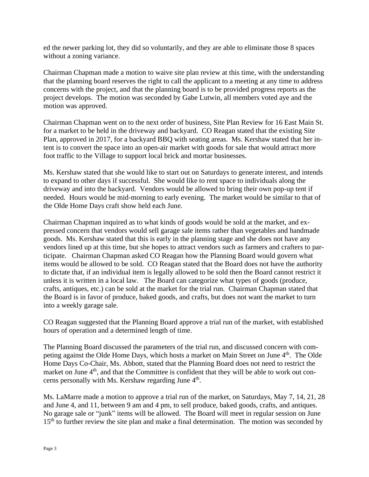ed the newer parking lot, they did so voluntarily, and they are able to eliminate those 8 spaces without a zoning variance.

Chairman Chapman made a motion to waive site plan review at this time, with the understanding that the planning board reserves the right to call the applicant to a meeting at any time to address concerns with the project, and that the planning board is to be provided progress reports as the project develops. The motion was seconded by Gabe Lutwin, all members voted aye and the motion was approved.

Chairman Chapman went on to the next order of business, Site Plan Review for 16 East Main St. for a market to be held in the driveway and backyard. CO Reagan stated that the existing Site Plan, approved in 2017, for a backyard BBQ with seating areas. Ms. Kershaw stated that her intent is to convert the space into an open-air market with goods for sale that would attract more foot traffic to the Village to support local brick and mortar businesses.

Ms. Kershaw stated that she would like to start out on Saturdays to generate interest, and intends to expand to other days if successful. She would like to rent space to individuals along the driveway and into the backyard. Vendors would be allowed to bring their own pop-up tent if needed. Hours would be mid-morning to early evening. The market would be similar to that of the Olde Home Days craft show held each June.

Chairman Chapman inquired as to what kinds of goods would be sold at the market, and expressed concern that vendors would sell garage sale items rather than vegetables and handmade goods. Ms. Kershaw stated that this is early in the planning stage and she does not have any vendors lined up at this time, but she hopes to attract vendors such as farmers and crafters to participate. Chairman Chapman asked CO Reagan how the Planning Board would govern what items would be allowed to be sold. CO Reagan stated that the Board does not have the authority to dictate that, if an individual item is legally allowed to be sold then the Board cannot restrict it unless it is written in a local law. The Board can categorize what types of goods (produce, crafts, antiques, etc.) can be sold at the market for the trial run. Chairman Chapman stated that the Board is in favor of produce, baked goods, and crafts, but does not want the market to turn into a weekly garage sale.

CO Reagan suggested that the Planning Board approve a trial run of the market, with established hours of operation and a determined length of time.

The Planning Board discussed the parameters of the trial run, and discussed concern with competing against the Olde Home Days, which hosts a market on Main Street on June 4<sup>th</sup>. The Olde Home Days Co-Chair, Ms. Abbott, stated that the Planning Board does not need to restrict the market on June 4<sup>th</sup>, and that the Committee is confident that they will be able to work out concerns personally with Ms. Kershaw regarding June 4<sup>th</sup>.

Ms. LaMarre made a motion to approve a trial run of the market, on Saturdays, May 7, 14, 21, 28 and June 4, and 11, between 9 am and 4 pm, to sell produce, baked goods, crafts, and antiques. No garage sale or "junk" items will be allowed. The Board will meet in regular session on June  $15<sup>th</sup>$  to further review the site plan and make a final determination. The motion was seconded by